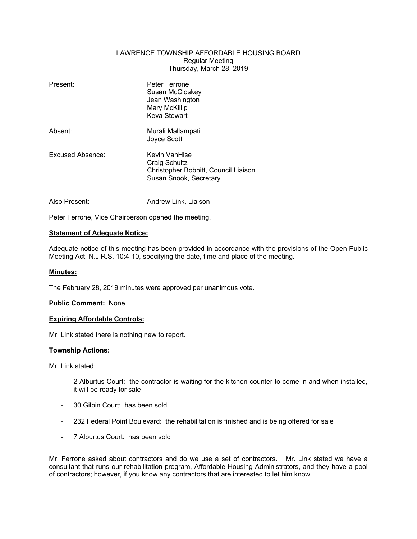# LAWRENCE TOWNSHIP AFFORDABLE HOUSING BOARD Regular Meeting Thursday, March 28, 2019

| Present:         | Peter Ferrone<br>Susan McCloskey<br>Jean Washington<br>Mary McKillip<br>Keva Stewart             |
|------------------|--------------------------------------------------------------------------------------------------|
| Absent:          | Murali Mallampati<br>Joyce Scott                                                                 |
| Excused Absence: | Kevin VanHise<br>Craig Schultz<br>Christopher Bobbitt, Council Liaison<br>Susan Snook, Secretary |
| Also Present:    | Andrew Link, Liaison                                                                             |

Peter Ferrone, Vice Chairperson opened the meeting.

# **Statement of Adequate Notice:**

Adequate notice of this meeting has been provided in accordance with the provisions of the Open Public Meeting Act, N.J.R.S. 10:4-10, specifying the date, time and place of the meeting.

# **Minutes:**

The February 28, 2019 minutes were approved per unanimous vote.

# **Public Comment:** None

#### **Expiring Affordable Controls:**

Mr. Link stated there is nothing new to report.

# **Township Actions:**

Mr. Link stated:

- 2 Alburtus Court: the contractor is waiting for the kitchen counter to come in and when installed, it will be ready for sale
- 30 Gilpin Court: has been sold
- 232 Federal Point Boulevard: the rehabilitation is finished and is being offered for sale
- 7 Alburtus Court: has been sold

Mr. Ferrone asked about contractors and do we use a set of contractors. Mr. Link stated we have a consultant that runs our rehabilitation program, Affordable Housing Administrators, and they have a pool of contractors; however, if you know any contractors that are interested to let him know.